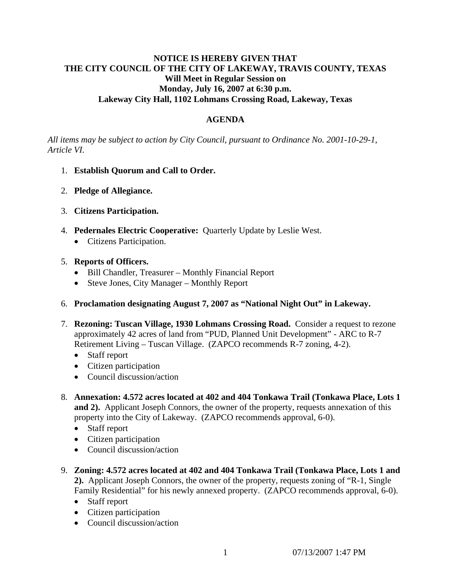## **NOTICE IS HEREBY GIVEN THAT THE CITY COUNCIL OF THE CITY OF LAKEWAY, TRAVIS COUNTY, TEXAS Will Meet in Regular Session on Monday, July 16, 2007 at 6:30 p.m. Lakeway City Hall, 1102 Lohmans Crossing Road, Lakeway, Texas**

# **AGENDA**

*All items may be subject to action by City Council, pursuant to Ordinance No. 2001-10-29-1, Article VI.* 

- 1. **Establish Quorum and Call to Order.**
- 2. **Pledge of Allegiance.**
- 3. **Citizens Participation.**
- 4. **Pedernales Electric Cooperative:** Quarterly Update by Leslie West.
	- Citizens Participation.

## 5. **Reports of Officers.**

- Bill Chandler, Treasurer Monthly Financial Report
- Steve Jones, City Manager Monthly Report
- 6. **Proclamation designating August 7, 2007 as "National Night Out" in Lakeway.**
- 7. **Rezoning: Tuscan Village, 1930 Lohmans Crossing Road.** Consider a request to rezone approximately 42 acres of land from "PUD, Planned Unit Development" - ARC to R-7 Retirement Living – Tuscan Village. (ZAPCO recommends R-7 zoning, 4-2).
	- Staff report
	- Citizen participation
	- Council discussion/action
- 8. **Annexation: 4.572 acres located at 402 and 404 Tonkawa Trail (Tonkawa Place, Lots 1 and 2).** Applicant Joseph Connors, the owner of the property, requests annexation of this property into the City of Lakeway. (ZAPCO recommends approval, 6-0).
	- Staff report
	- Citizen participation
	- Council discussion/action
- 9. **Zoning: 4.572 acres located at 402 and 404 Tonkawa Trail (Tonkawa Place, Lots 1 and 2).** Applicant Joseph Connors, the owner of the property, requests zoning of "R-1, Single Family Residential" for his newly annexed property. (ZAPCO recommends approval, 6-0).
	- Staff report
	- Citizen participation
	- Council discussion/action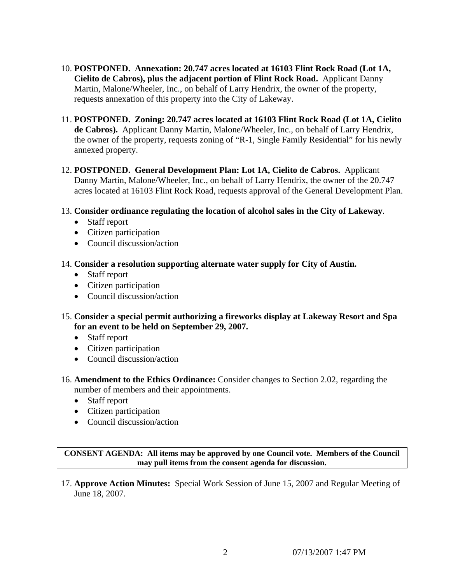- 10. **POSTPONED. Annexation: 20.747 acres located at 16103 Flint Rock Road (Lot 1A, Cielito de Cabros), plus the adjacent portion of Flint Rock Road.** Applicant Danny Martin, Malone/Wheeler, Inc., on behalf of Larry Hendrix, the owner of the property, requests annexation of this property into the City of Lakeway.
- 11. **POSTPONED. Zoning: 20.747 acres located at 16103 Flint Rock Road (Lot 1A, Cielito de Cabros).** Applicant Danny Martin, Malone/Wheeler, Inc., on behalf of Larry Hendrix, the owner of the property, requests zoning of "R-1, Single Family Residential" for his newly annexed property.
- 12. **POSTPONED. General Development Plan: Lot 1A, Cielito de Cabros.** Applicant Danny Martin, Malone/Wheeler, Inc., on behalf of Larry Hendrix, the owner of the 20.747 acres located at 16103 Flint Rock Road, requests approval of the General Development Plan.
- 13. **Consider ordinance regulating the location of alcohol sales in the City of Lakeway**.
	- Staff report
	- Citizen participation
	- Council discussion/action
- 14. **Consider a resolution supporting alternate water supply for City of Austin.** 
	- Staff report
	- Citizen participation
	- Council discussion/action
- 15. **Consider a special permit authorizing a fireworks display at Lakeway Resort and Spa for an event to be held on September 29, 2007.**
	- Staff report
	- Citizen participation
	- Council discussion/action
- 16. **Amendment to the Ethics Ordinance:** Consider changes to Section 2.02, regarding the number of members and their appointments.
	- Staff report
	- Citizen participation
	- Council discussion/action

**CONSENT AGENDA: All items may be approved by one Council vote. Members of the Council may pull items from the consent agenda for discussion.** 

17. **Approve Action Minutes:** Special Work Session of June 15, 2007 and Regular Meeting of June 18, 2007.